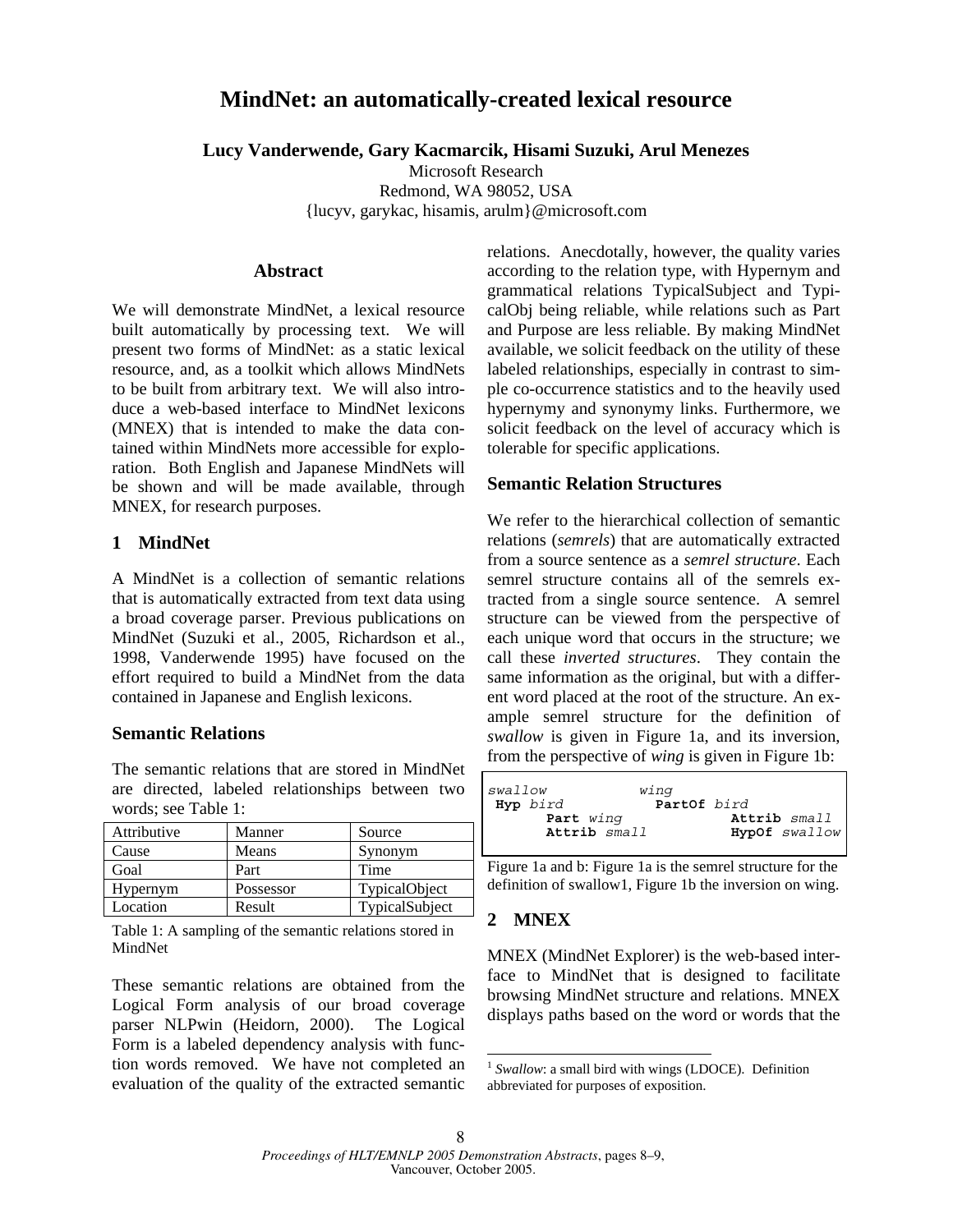# **MindNet: an automatically-created lexical resource**

**Lucy Vanderwende, Gary Kacmarcik, Hisami Suzuki, Arul Menezes**

Microsoft Research

Redmond, WA 98052, USA {lucyv, garykac, hisamis, arulm}@microsoft.com

#### **Abstract**

We will demonstrate MindNet, a lexical resource built automatically by processing text. We will present two forms of MindNet: as a static lexical resource, and, as a toolkit which allows MindNets to be built from arbitrary text. We will also introduce a web-based interface to MindNet lexicons (MNEX) that is intended to make the data contained within MindNets more accessible for exploration. Both English and Japanese MindNets will be shown and will be made available, through MNEX, for research purposes.

## **1 MindNet**

A MindNet is a collection of semantic relations that is automatically extracted from text data using a broad coverage parser. Previous publications on MindNet (Suzuki et al., 2005, Richardson et al., 1998, Vanderwende 1995) have focused on the effort required to build a MindNet from the data contained in Japanese and English lexicons.

## **Semantic Relations**

The semantic relations that are stored in MindNet are directed, labeled relationships between two words; see Table 1:

| Attributive | Manner    | Source         |
|-------------|-----------|----------------|
| Cause       | Means     | Synonym        |
| Goal        | Part      | Time           |
| Hypernym    | Possessor | TypicalObject  |
| Location    | Result    | TypicalSubject |

Table 1: A sampling of the semantic relations stored in MindNet

These semantic relations are obtained from the Logical Form analysis of our broad coverage parser NLPwin (Heidorn, 2000). The Logical Form is a labeled dependency analysis with function words removed. We have not completed an evaluation of the quality of the extracted semantic relations. Anecdotally, however, the quality varies according to the relation type, with Hypernym and grammatical relations TypicalSubject and TypicalObj being reliable, while relations such as Part and Purpose are less reliable. By making MindNet available, we solicit feedback on the utility of these labeled relationships, especially in contrast to simple co-occurrence statistics and to the heavily used hypernymy and synonymy links. Furthermore, we solicit feedback on the level of accuracy which is tolerable for specific applications.

## **Semantic Relation Structures**

We refer to the hierarchical collection of semantic relations (*semrels*) that are automatically extracted from a source sentence as a *semrel structure*. Each semrel structure contains all of the semrels extracted from a single source sentence. A semrel structure can be viewed from the perspective of each unique word that occurs in the structure; we call these *inverted structures*. They contain the same information as the original, but with a different word placed at the root of the structure. An example semrel structure for the definition of *swallow* is given in Figure 1a, and its inversion, from the perspective of *wing* is given in Figure 1b:

| Iswallow     | wing        |               |
|--------------|-------------|---------------|
| Hyp bird     | PartOf bird |               |
| Part wing    |             | Attrib small  |
| Attrib small |             | HypOf swallow |
|              |             |               |

Figure 1a and b: Figure 1a is the semrel structure for the definition of swallow1, Figure 1b the inversion on wing.

## **2 MNEX**

MNEX (MindNet Explorer) is the web-based interface to MindNet that is designed to facilitate browsing MindNet structure and relations. MNEX displays paths based on the word or words that the

 $\overline{a}$ 

<sup>&</sup>lt;sup>1</sup> Swallow: a small bird with wings (LDOCE). Definition abbreviated for purposes of exposition.